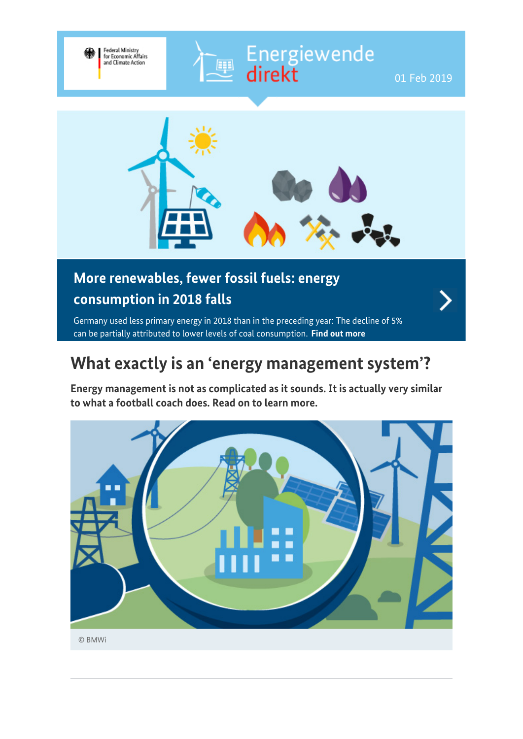

## **More renewables, fewer fossil fuels: energy consumption in 2018 falls**

Germany used less primary energy in 2018 than in the preceding year: The decline of 5% can be partially attributed to lower levels of coal consumption. **[Find out more](https://www.bmwi-energiewende.de/EWD/Redaktion/EN/Newsletter/2019/01/Meldung/topthema.html)**

#### **What exactly is an 'energy management system'?**

**Energy management is not as complicated as it sounds. It is actually very similar to what a football coach does. Read on to learn more.**

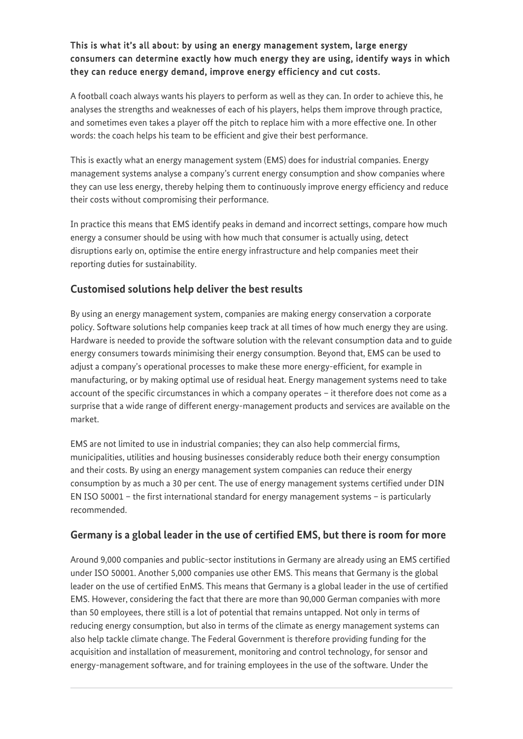# This is what it's all about: by using an energy management system, large energy<br>consumers can determine exactly how much energy they are using, identify ways in which<br>they can reduce energy demand, improve energy efficienc

A football coach always wants his players to perform as well as they can. In order to achieve this, he analyses the strengths and weaknesses of each of his players, helps them improve through practice, and sometimes even takes a player off the pitch to replace him with a more effective one. In other words: the coach helps his team to be efficient and give their best performance.

This is exactly what an energy management system (EMS) does for industrial companies. Energy management systems analyse a company's current energy consumption and show companies where they can use less energy, thereby helping them to continuously improve energy efficiency and reduce their costs without compromising their performance.

In practice this means that EMS identify peaks in demand and incorrect settings, compare how much energy a consumer should be using with how much that consumer is actually using, detect disruptions early on, optimise the entire energy infrastructure and help companies meet their reporting duties for sustainability.

#### **Customised solutions help deliver the best results**

By using an energy management system, companies are making energy conservation a corporate policy. Software solutions help companies keep track at all times of how much energy they are using. Hardware is needed to provide the software solution with the relevant consumption data and to guide energy consumers towards minimising their energy consumption. Beyond that, EMS can be used to adjust a company's operational processes to make these more energy-efficient, for example in manufacturing, or by making optimal use of residual heat. Energy management systems need to take account of the specific circumstances in which a company operates – it therefore does not come as a surprise that a wide range of different energy-management products and services are available on the market.

EMS are not limited to use in industrial companies; they can also help commercial firms, municipalities, utilities and housing businesses considerably reduce both their energy consumption and their costs. By using an energy management system companies can reduce their energy consumption by as much a 30 per cent. The use of energy management systems certified under DIN EN ISO 50001 – the first international standard for energy management systems – is particularly recommended.

#### **Germany is a global leader in the use of certified EMS, but there is room for more**

Around 9,000 companies and public-sector institutions in Germany are already using an EMS certified under ISO 50001. Another 5,000 companies use other EMS. This means that Germany is the global leader on the use of certified EnMS. This means that Germany is a global leader in the use of certified EMS. However, considering the fact that there are more than 90,000 German companies with more than 50 employees, there still is a lot of potential that remains untapped. Not only in terms of reducing energy consumption, but also in terms of the climate as energy management systems can also help tackle climate change. The Federal Government is therefore providing funding for the acquisition and installation of measurement, monitoring and control technology, for sensor and energy-management software, and for training employees in the use of the software. Under the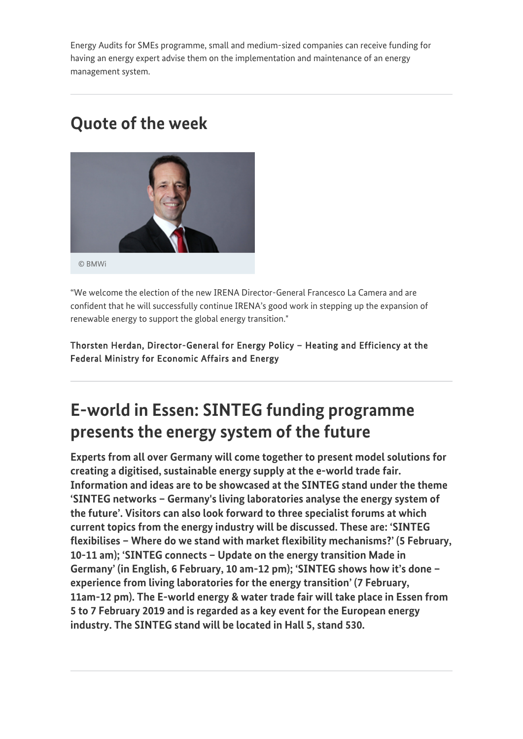Energy Audits for SMEs programme, small and medium-sized companies can receive funding for having an energy expert advise them on the implementation and maintenance of an energy management system.

## **Quote of the week**



"We welcome the election of the new IRENA Director-General Francesco La Camera and are confident that he will successfully continue IRENA's good work in stepping up the expansion of renewable energy to support the global energy transition."

Thorsten Herdan, Director-General for Energy Policy – Heating and Efficiency at the Federal Ministry for Economic Affairs and Energy

# **E-world in Essen: SINTEG funding programme presents the energy system of the future**

**Experts from all over Germany will come together to present model solutions for creating a digitised, sustainable energy supply at the e-world trade fair. Information and ideas are to be showcased at the SINTEG stand under the theme 'SINTEG networks – Germany's living laboratories analyse the energy system of the future'. Visitors can also look forward to three specialist forums at which current topics from the energy industry will be discussed. These are: 'SINTEG flexibilises – Where do we stand with market flexibility mechanisms?' (5 February, 10-11 am); 'SINTEG connects – Update on the energy transition Made in Germany' (in English, 6 February, 10 am-12 pm); 'SINTEG shows how it's done – experience from living laboratories for the energy transition' (7 February, 11am-12 pm). The E-world energy & water trade fair will take place in Essen from 5 to 7 February 2019 and is regarded as a key event for the European energy industry. The SINTEG stand will be located in Hall 5, stand 530.**